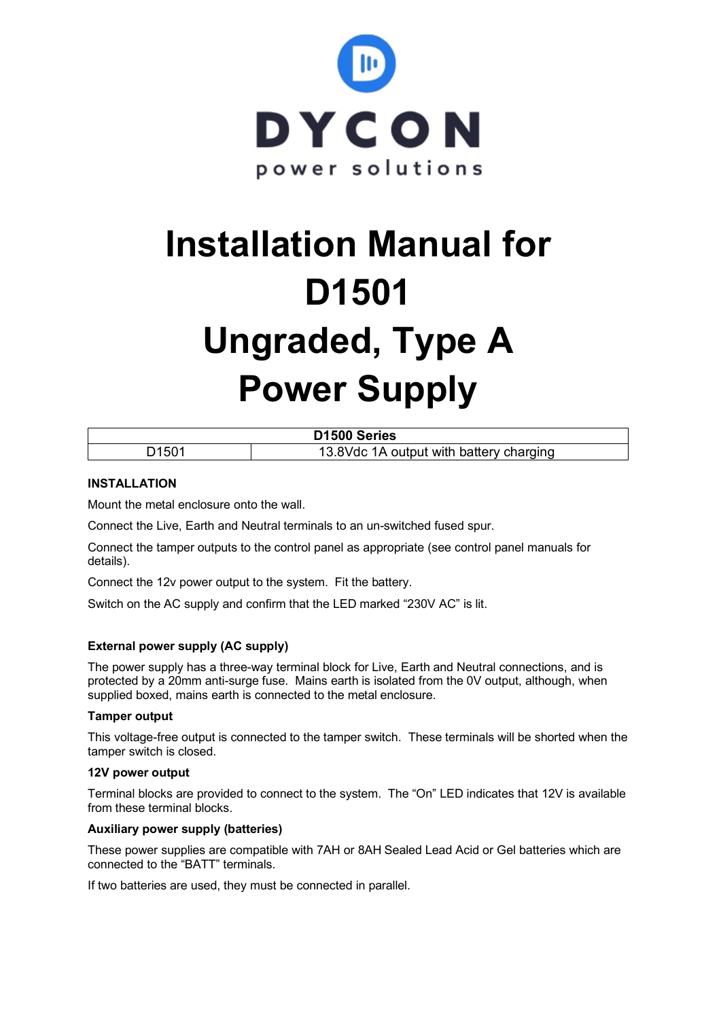

# **Installation Manual for D1501 Ungraded, Type A Power Supply**

| D <sub>1500</sub> Series |                                         |  |  |  |
|--------------------------|-----------------------------------------|--|--|--|
| D1501                    | 13.8Vdc 1A output with battery charging |  |  |  |

## **INSTALLATION**

Mount the metal enclosure onto the wall.

Connect the Live, Earth and Neutral terminals to an un-switched fused spur.

Connect the tamper outputs to the control panel as appropriate (see control panel manuals for details).

Connect the 12v power output to the system. Fit the battery.

Switch on the AC supply and confirm that the LED marked "230V AC" is lit.

#### **External power supply (AC supply)**

The power supply has a three-way terminal block for Live, Earth and Neutral connections, and is protected by a 20mm anti-surge fuse. Mains earth is isolated from the 0V output, although, when supplied boxed, mains earth is connected to the metal enclosure.

#### **Tamper output**

This voltage-free output is connected to the tamper switch. These terminals will be shorted when the tamper switch is closed.

#### **12V power output**

Terminal blocks are provided to connect to the system. The "On" LED indicates that 12V is available from these terminal blocks.

#### **Auxiliary power supply (batteries)**

These power supplies are compatible with 7AH or 8AH Sealed Lead Acid or Gel batteries which are connected to the "BATT" terminals.

If two batteries are used, they must be connected in parallel.